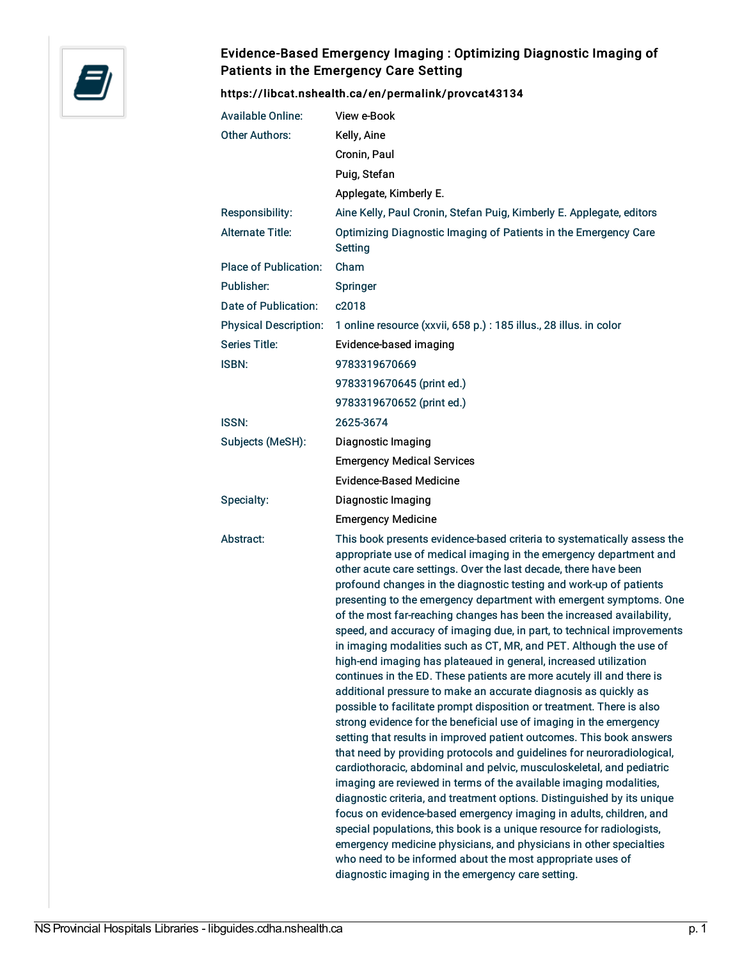

## Evidence-Based Emergency Imaging : Optimizing Diagnostic Imaging of Patients in the Emergency Care Setting

## <https://libcat.nshealth.ca/en/permalink/provcat43134>

| View e-Book                                                                                                                                                                                                                                                                                                                                                                                                                                                                                                                                                                                                                                                                                                                                                                                                                                                                                                                                                                                                                                                                                                                                                                                                                                                                                                                                                                                                                                                                                                                                           |
|-------------------------------------------------------------------------------------------------------------------------------------------------------------------------------------------------------------------------------------------------------------------------------------------------------------------------------------------------------------------------------------------------------------------------------------------------------------------------------------------------------------------------------------------------------------------------------------------------------------------------------------------------------------------------------------------------------------------------------------------------------------------------------------------------------------------------------------------------------------------------------------------------------------------------------------------------------------------------------------------------------------------------------------------------------------------------------------------------------------------------------------------------------------------------------------------------------------------------------------------------------------------------------------------------------------------------------------------------------------------------------------------------------------------------------------------------------------------------------------------------------------------------------------------------------|
|                                                                                                                                                                                                                                                                                                                                                                                                                                                                                                                                                                                                                                                                                                                                                                                                                                                                                                                                                                                                                                                                                                                                                                                                                                                                                                                                                                                                                                                                                                                                                       |
| Kelly, Aine                                                                                                                                                                                                                                                                                                                                                                                                                                                                                                                                                                                                                                                                                                                                                                                                                                                                                                                                                                                                                                                                                                                                                                                                                                                                                                                                                                                                                                                                                                                                           |
| Cronin, Paul                                                                                                                                                                                                                                                                                                                                                                                                                                                                                                                                                                                                                                                                                                                                                                                                                                                                                                                                                                                                                                                                                                                                                                                                                                                                                                                                                                                                                                                                                                                                          |
| Puig, Stefan                                                                                                                                                                                                                                                                                                                                                                                                                                                                                                                                                                                                                                                                                                                                                                                                                                                                                                                                                                                                                                                                                                                                                                                                                                                                                                                                                                                                                                                                                                                                          |
| Applegate, Kimberly E.                                                                                                                                                                                                                                                                                                                                                                                                                                                                                                                                                                                                                                                                                                                                                                                                                                                                                                                                                                                                                                                                                                                                                                                                                                                                                                                                                                                                                                                                                                                                |
| Aine Kelly, Paul Cronin, Stefan Puig, Kimberly E. Applegate, editors                                                                                                                                                                                                                                                                                                                                                                                                                                                                                                                                                                                                                                                                                                                                                                                                                                                                                                                                                                                                                                                                                                                                                                                                                                                                                                                                                                                                                                                                                  |
| Optimizing Diagnostic Imaging of Patients in the Emergency Care<br>Setting                                                                                                                                                                                                                                                                                                                                                                                                                                                                                                                                                                                                                                                                                                                                                                                                                                                                                                                                                                                                                                                                                                                                                                                                                                                                                                                                                                                                                                                                            |
| Cham                                                                                                                                                                                                                                                                                                                                                                                                                                                                                                                                                                                                                                                                                                                                                                                                                                                                                                                                                                                                                                                                                                                                                                                                                                                                                                                                                                                                                                                                                                                                                  |
| Springer                                                                                                                                                                                                                                                                                                                                                                                                                                                                                                                                                                                                                                                                                                                                                                                                                                                                                                                                                                                                                                                                                                                                                                                                                                                                                                                                                                                                                                                                                                                                              |
| c2018                                                                                                                                                                                                                                                                                                                                                                                                                                                                                                                                                                                                                                                                                                                                                                                                                                                                                                                                                                                                                                                                                                                                                                                                                                                                                                                                                                                                                                                                                                                                                 |
| 1 online resource (xxvii, 658 p.) : 185 illus., 28 illus. in color                                                                                                                                                                                                                                                                                                                                                                                                                                                                                                                                                                                                                                                                                                                                                                                                                                                                                                                                                                                                                                                                                                                                                                                                                                                                                                                                                                                                                                                                                    |
| Evidence-based imaging                                                                                                                                                                                                                                                                                                                                                                                                                                                                                                                                                                                                                                                                                                                                                                                                                                                                                                                                                                                                                                                                                                                                                                                                                                                                                                                                                                                                                                                                                                                                |
| 9783319670669                                                                                                                                                                                                                                                                                                                                                                                                                                                                                                                                                                                                                                                                                                                                                                                                                                                                                                                                                                                                                                                                                                                                                                                                                                                                                                                                                                                                                                                                                                                                         |
| 9783319670645 (print ed.)                                                                                                                                                                                                                                                                                                                                                                                                                                                                                                                                                                                                                                                                                                                                                                                                                                                                                                                                                                                                                                                                                                                                                                                                                                                                                                                                                                                                                                                                                                                             |
| 9783319670652 (print ed.)                                                                                                                                                                                                                                                                                                                                                                                                                                                                                                                                                                                                                                                                                                                                                                                                                                                                                                                                                                                                                                                                                                                                                                                                                                                                                                                                                                                                                                                                                                                             |
| 2625-3674                                                                                                                                                                                                                                                                                                                                                                                                                                                                                                                                                                                                                                                                                                                                                                                                                                                                                                                                                                                                                                                                                                                                                                                                                                                                                                                                                                                                                                                                                                                                             |
| <b>Diagnostic Imaging</b>                                                                                                                                                                                                                                                                                                                                                                                                                                                                                                                                                                                                                                                                                                                                                                                                                                                                                                                                                                                                                                                                                                                                                                                                                                                                                                                                                                                                                                                                                                                             |
| <b>Emergency Medical Services</b>                                                                                                                                                                                                                                                                                                                                                                                                                                                                                                                                                                                                                                                                                                                                                                                                                                                                                                                                                                                                                                                                                                                                                                                                                                                                                                                                                                                                                                                                                                                     |
| <b>Evidence-Based Medicine</b>                                                                                                                                                                                                                                                                                                                                                                                                                                                                                                                                                                                                                                                                                                                                                                                                                                                                                                                                                                                                                                                                                                                                                                                                                                                                                                                                                                                                                                                                                                                        |
| <b>Diagnostic Imaging</b>                                                                                                                                                                                                                                                                                                                                                                                                                                                                                                                                                                                                                                                                                                                                                                                                                                                                                                                                                                                                                                                                                                                                                                                                                                                                                                                                                                                                                                                                                                                             |
| <b>Emergency Medicine</b>                                                                                                                                                                                                                                                                                                                                                                                                                                                                                                                                                                                                                                                                                                                                                                                                                                                                                                                                                                                                                                                                                                                                                                                                                                                                                                                                                                                                                                                                                                                             |
| This book presents evidence-based criteria to systematically assess the<br>appropriate use of medical imaging in the emergency department and<br>other acute care settings. Over the last decade, there have been<br>profound changes in the diagnostic testing and work-up of patients<br>presenting to the emergency department with emergent symptoms. One<br>of the most far-reaching changes has been the increased availability,<br>speed, and accuracy of imaging due, in part, to technical improvements<br>in imaging modalities such as CT, MR, and PET. Although the use of<br>high-end imaging has plateaued in general, increased utilization<br>continues in the ED. These patients are more acutely ill and there is<br>additional pressure to make an accurate diagnosis as quickly as<br>possible to facilitate prompt disposition or treatment. There is also<br>strong evidence for the beneficial use of imaging in the emergency<br>setting that results in improved patient outcomes. This book answers<br>that need by providing protocols and guidelines for neuroradiological,<br>cardiothoracic, abdominal and pelvic, musculoskeletal, and pediatric<br>imaging are reviewed in terms of the available imaging modalities,<br>diagnostic criteria, and treatment options. Distinguished by its unique<br>focus on evidence-based emergency imaging in adults, children, and<br>special populations, this book is a unique resource for radiologists,<br>emergency medicine physicians, and physicians in other specialties |
|                                                                                                                                                                                                                                                                                                                                                                                                                                                                                                                                                                                                                                                                                                                                                                                                                                                                                                                                                                                                                                                                                                                                                                                                                                                                                                                                                                                                                                                                                                                                                       |